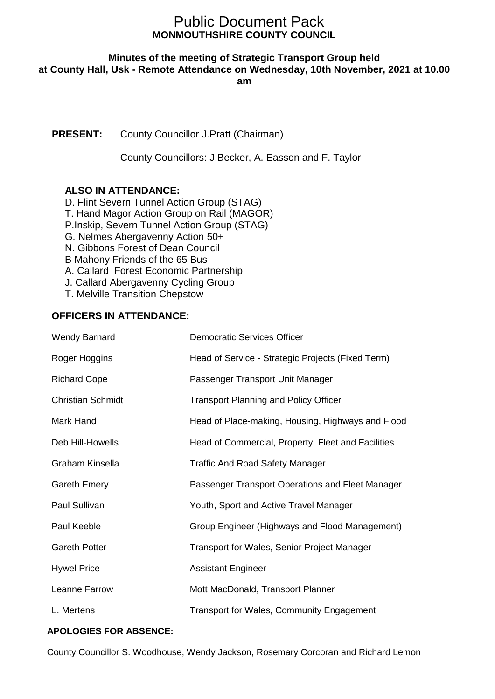# **MONMOUTHSHIRE COUNTY COUNCIL** Public Document Pack

# **Minutes of the meeting of Strategic Transport Group held**

**at County Hall, Usk - Remote Attendance on Wednesday, 10th November, 2021 at 10.00** 

**am**

**PRESENT:** County Councillor J.Pratt (Chairman)

County Councillors: J.Becker, A. Easson and F. Taylor

# **ALSO IN ATTENDANCE:**

D. Flint Severn Tunnel Action Group (STAG) T. Hand Magor Action Group on Rail (MAGOR) P.Inskip, Severn Tunnel Action Group (STAG) G. Nelmes Abergavenny Action 50+ N. Gibbons Forest of Dean Council B Mahony Friends of the 65 Bus A. Callard Forest Economic Partnership J. Callard Abergavenny Cycling Group T. Melville Transition Chepstow

# **OFFICERS IN ATTENDANCE:**

| Democratic Services Officer                        |
|----------------------------------------------------|
| Head of Service - Strategic Projects (Fixed Term)  |
| Passenger Transport Unit Manager                   |
| <b>Transport Planning and Policy Officer</b>       |
| Head of Place-making, Housing, Highways and Flood  |
| Head of Commercial, Property, Fleet and Facilities |
| <b>Traffic And Road Safety Manager</b>             |
| Passenger Transport Operations and Fleet Manager   |
| Youth, Sport and Active Travel Manager             |
| Group Engineer (Highways and Flood Management)     |
| <b>Transport for Wales, Senior Project Manager</b> |
| <b>Assistant Engineer</b>                          |
| Mott MacDonald, Transport Planner                  |
| <b>Transport for Wales, Community Engagement</b>   |
|                                                    |

## **APOLOGIES FOR ABSENCE:**

County Councillor S. Woodhouse, Wendy Jackson, Rosemary Corcoran and Richard Lemon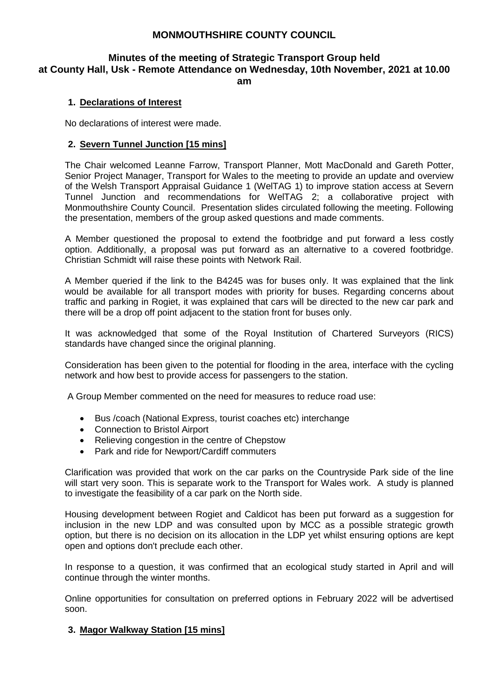## **MONMOUTHSHIRE COUNTY COUNCIL**

# **Minutes of the meeting of Strategic Transport Group held at County Hall, Usk - Remote Attendance on Wednesday, 10th November, 2021 at 10.00**

**am**

#### **1. Declarations of Interest**

No declarations of interest were made.

#### **2. Severn Tunnel Junction [15 mins]**

The Chair welcomed Leanne Farrow, Transport Planner, Mott MacDonald and Gareth Potter, Senior Project Manager, Transport for Wales to the meeting to provide an update and overview of the Welsh Transport Appraisal Guidance 1 (WelTAG 1) to improve station access at Severn Tunnel Junction and recommendations for WelTAG 2; a collaborative project with Monmouthshire County Council. Presentation slides circulated following the meeting. Following the presentation, members of the group asked questions and made comments.

A Member questioned the proposal to extend the footbridge and put forward a less costly option. Additionally, a proposal was put forward as an alternative to a covered footbridge. Christian Schmidt will raise these points with Network Rail.

A Member queried if the link to the B4245 was for buses only. It was explained that the link would be available for all transport modes with priority for buses. Regarding concerns about traffic and parking in Rogiet, it was explained that cars will be directed to the new car park and there will be a drop off point adjacent to the station front for buses only.

It was acknowledged that some of the Royal Institution of Chartered Surveyors (RICS) standards have changed since the original planning.

Consideration has been given to the potential for flooding in the area, interface with the cycling network and how best to provide access for passengers to the station.

A Group Member commented on the need for measures to reduce road use:

- Bus /coach (National Express, tourist coaches etc) interchange
- Connection to Bristol Airport
- Relieving congestion in the centre of Chepstow
- Park and ride for Newport/Cardiff commuters

Clarification was provided that work on the car parks on the Countryside Park side of the line will start very soon. This is separate work to the Transport for Wales work. A study is planned to investigate the feasibility of a car park on the North side.

Housing development between Rogiet and Caldicot has been put forward as a suggestion for inclusion in the new LDP and was consulted upon by MCC as a possible strategic growth option, but there is no decision on its allocation in the LDP yet whilst ensuring options are kept open and options don't preclude each other.

In response to a question, it was confirmed that an ecological study started in April and will continue through the winter months.

Online opportunities for consultation on preferred options in February 2022 will be advertised soon.

#### **3. Magor Walkway Station [15 mins]**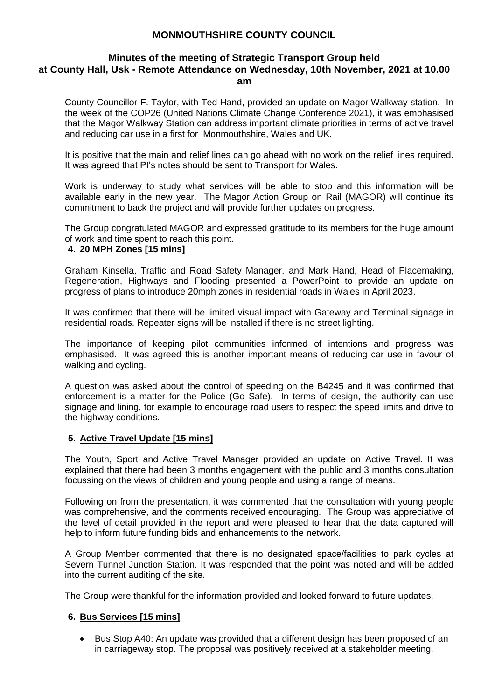## **MONMOUTHSHIRE COUNTY COUNCIL**

#### **Minutes of the meeting of Strategic Transport Group held at County Hall, Usk - Remote Attendance on Wednesday, 10th November, 2021 at 10.00 am**

County Councillor F. Taylor, with Ted Hand, provided an update on Magor Walkway station. In the week of the COP26 (United Nations Climate Change Conference 2021), it was emphasised that the Magor Walkway Station can address important climate priorities in terms of active travel and reducing car use in a first for Monmouthshire, Wales and UK.

It is positive that the main and relief lines can go ahead with no work on the relief lines required. It was agreed that PI's notes should be sent to Transport for Wales.

Work is underway to study what services will be able to stop and this information will be available early in the new year. The Magor Action Group on Rail (MAGOR) will continue its commitment to back the project and will provide further updates on progress.

The Group congratulated MAGOR and expressed gratitude to its members for the huge amount of work and time spent to reach this point.

#### **4. 20 MPH Zones [15 mins]**

Graham Kinsella, Traffic and Road Safety Manager, and Mark Hand, Head of Placemaking, Regeneration, Highways and Flooding presented a PowerPoint to provide an update on progress of plans to introduce 20mph zones in residential roads in Wales in April 2023.

It was confirmed that there will be limited visual impact with Gateway and Terminal signage in residential roads. Repeater signs will be installed if there is no street lighting.

The importance of keeping pilot communities informed of intentions and progress was emphasised. It was agreed this is another important means of reducing car use in favour of walking and cycling.

A question was asked about the control of speeding on the B4245 and it was confirmed that enforcement is a matter for the Police (Go Safe). In terms of design, the authority can use signage and lining, for example to encourage road users to respect the speed limits and drive to the highway conditions.

#### **5. Active Travel Update [15 mins]**

The Youth, Sport and Active Travel Manager provided an update on Active Travel. It was explained that there had been 3 months engagement with the public and 3 months consultation focussing on the views of children and young people and using a range of means.

Following on from the presentation, it was commented that the consultation with young people was comprehensive, and the comments received encouraging. The Group was appreciative of the level of detail provided in the report and were pleased to hear that the data captured will help to inform future funding bids and enhancements to the network.

A Group Member commented that there is no designated space/facilities to park cycles at Severn Tunnel Junction Station. It was responded that the point was noted and will be added into the current auditing of the site.

The Group were thankful for the information provided and looked forward to future updates.

#### **6. Bus Services [15 mins]**

 Bus Stop A40: An update was provided that a different design has been proposed of an in carriageway stop. The proposal was positively received at a stakeholder meeting.